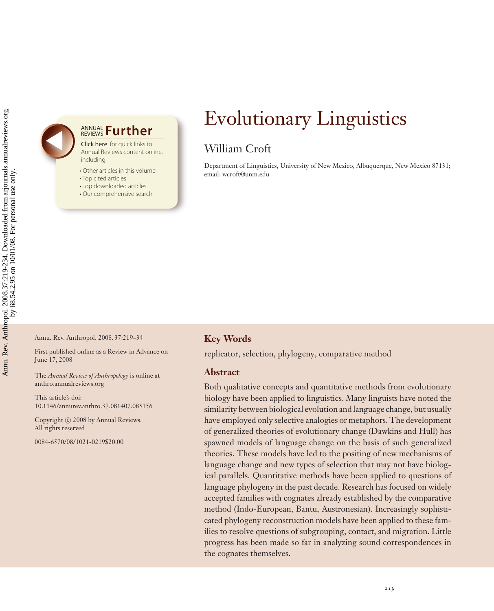## **ANNUAL Further**

Click here for quick links to Annual Reviews content online, including:

• Other articles in this volume

• Top cited articles

• Top downloaded articles

• Our comprehensive search

## Evolutionary Linguistics

### William Croft

Department of Linguistics, University of New Mexico, Albuquerque, New Mexico 87131; email: wcroft@unm.edu

Annu. Rev. Anthropol. 2008. 37:219–34

First published online as a Review in Advance on June 17, 2008

The *Annual Review of Anthropology* is online at anthro.annualreviews.org

This article's doi: 10.1146/annurev.anthro.37.081407.085156

Copyright © 2008 by Annual Reviews. All rights reserved

0084-6570/08/1021-0219\$20.00

#### **Key Words**

replicator, selection, phylogeny, comparative method

#### **Abstract**

Both qualitative concepts and quantitative methods from evolutionary biology have been applied to linguistics. Many linguists have noted the similarity between biological evolution and language change, but usually have employed only selective analogies or metaphors. The development of generalized theories of evolutionary change (Dawkins and Hull) has spawned models of language change on the basis of such generalized theories. These models have led to the positing of new mechanisms of language change and new types of selection that may not have biological parallels. Quantitative methods have been applied to questions of language phylogeny in the past decade. Research has focused on widely accepted families with cognates already established by the comparative method (Indo-European, Bantu, Austronesian). Increasingly sophisticated phylogeny reconstruction models have been applied to these families to resolve questions of subgrouping, contact, and migration. Little progress has been made so far in analyzing sound correspondences in the cognates themselves.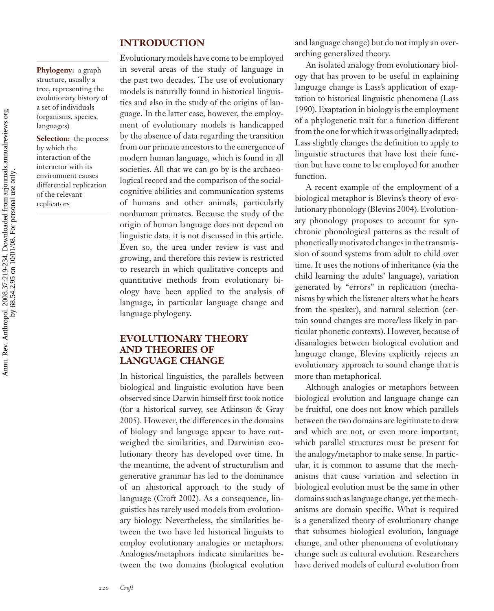#### **INTRODUCTION**

**Phylogeny:** a graph structure, usually a tree, representing the evolutionary history of a set of individuals (organisms, species, languages)

**Selection:** the process by which the interaction of the interactor with its environment causes differential replication of the relevant replicators

Evolutionary models have come to be employed in several areas of the study of language in the past two decades. The use of evolutionary models is naturally found in historical linguistics and also in the study of the origins of language. In the latter case, however, the employment of evolutionary models is handicapped by the absence of data regarding the transition from our primate ancestors to the emergence of modern human language, which is found in all societies. All that we can go by is the archaeological record and the comparison of the socialcognitive abilities and communication systems of humans and other animals, particularly nonhuman primates. Because the study of the origin of human language does not depend on linguistic data, it is not discussed in this article. Even so, the area under review is vast and growing, and therefore this review is restricted to research in which qualitative concepts and quantitative methods from evolutionary biology have been applied to the analysis of language, in particular language change and language phylogeny.

#### **EVOLUTIONARY THEORY AND THEORIES OF LANGUAGE CHANGE**

In historical linguistics, the parallels between biological and linguistic evolution have been observed since Darwin himself first took notice (for a historical survey, see Atkinson & Gray 2005). However, the differences in the domains of biology and language appear to have outweighed the similarities, and Darwinian evolutionary theory has developed over time. In the meantime, the advent of structuralism and generative grammar has led to the dominance of an ahistorical approach to the study of language (Croft 2002). As a consequence, linguistics has rarely used models from evolutionary biology. Nevertheless, the similarities between the two have led historical linguists to employ evolutionary analogies or metaphors. Analogies/metaphors indicate similarities between the two domains (biological evolution

and language change) but do not imply an overarching generalized theory.

An isolated analogy from evolutionary biology that has proven to be useful in explaining language change is Lass's application of exaptation to historical linguistic phenomena (Lass 1990). Exaptation in biology is the employment of a phylogenetic trait for a function different from the one for which it was originally adapted; Lass slightly changes the definition to apply to linguistic structures that have lost their function but have come to be employed for another function.

A recent example of the employment of a biological metaphor is Blevins's theory of evolutionary phonology (Blevins 2004). Evolutionary phonology proposes to account for synchronic phonological patterns as the result of phonetically motivated changes in the transmission of sound systems from adult to child over time. It uses the notions of inheritance (via the child learning the adults' language), variation generated by "errors" in replication (mechanisms by which the listener alters what he hears from the speaker), and natural selection (certain sound changes are more/less likely in particular phonetic contexts). However, because of disanalogies between biological evolution and language change, Blevins explicitly rejects an evolutionary approach to sound change that is more than metaphorical.

Although analogies or metaphors between biological evolution and language change can be fruitful, one does not know which parallels between the two domains are legitimate to draw and which are not, or even more important, which parallel structures must be present for the analogy/metaphor to make sense. In particular, it is common to assume that the mechanisms that cause variation and selection in biological evolution must be the same in other domains such as language change, yet the mechanisms are domain specific. What is required is a generalized theory of evolutionary change that subsumes biological evolution, language change, and other phenomena of evolutionary change such as cultural evolution. Researchers have derived models of cultural evolution from

by 68.54.2.95 on 10/01/08. For personal use only.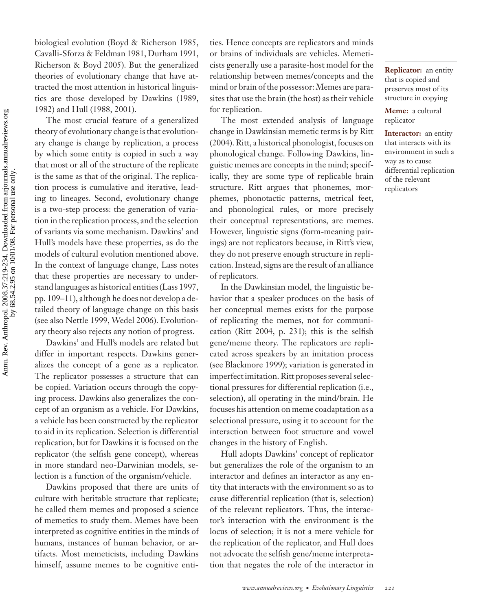biological evolution (Boyd & Richerson 1985, Cavalli-Sforza & Feldman 1981, Durham 1991, Richerson & Boyd 2005). But the generalized theories of evolutionary change that have attracted the most attention in historical linguistics are those developed by Dawkins (1989, 1982) and Hull (1988, 2001).

The most crucial feature of a generalized theory of evolutionary change is that evolutionary change is change by replication, a process by which some entity is copied in such a way that most or all of the structure of the replicate is the same as that of the original. The replication process is cumulative and iterative, leading to lineages. Second, evolutionary change is a two-step process: the generation of variation in the replication process, and the selection of variants via some mechanism. Dawkins' and Hull's models have these properties, as do the models of cultural evolution mentioned above. In the context of language change, Lass notes that these properties are necessary to understand languages as historical entities (Lass 1997, pp. 109–11), although he does not develop a detailed theory of language change on this basis (see also Nettle 1999, Wedel 2006). Evolutionary theory also rejects any notion of progress.

Dawkins' and Hull's models are related but differ in important respects. Dawkins generalizes the concept of a gene as a replicator. The replicator possesses a structure that can be copied. Variation occurs through the copying process. Dawkins also generalizes the concept of an organism as a vehicle. For Dawkins, a vehicle has been constructed by the replicator to aid in its replication. Selection is differential replication, but for Dawkins it is focused on the replicator (the selfish gene concept), whereas in more standard neo-Darwinian models, selection is a function of the organism/vehicle.

Dawkins proposed that there are units of culture with heritable structure that replicate; he called them memes and proposed a science of memetics to study them. Memes have been interpreted as cognitive entities in the minds of humans, instances of human behavior, or artifacts. Most memeticists, including Dawkins himself, assume memes to be cognitive entities. Hence concepts are replicators and minds or brains of individuals are vehicles. Memeticists generally use a parasite-host model for the relationship between memes/concepts and the mind or brain of the possessor: Memes are parasites that use the brain (the host) as their vehicle for replication.

The most extended analysis of language change in Dawkinsian memetic terms is by Ritt (2004). Ritt, a historical phonologist, focuses on phonological change. Following Dawkins, linguistic memes are concepts in the mind; specifically, they are some type of replicable brain structure. Ritt argues that phonemes, morphemes, phonotactic patterns, metrical feet, and phonological rules, or more precisely their conceptual representations, are memes. However, linguistic signs (form-meaning pairings) are not replicators because, in Ritt's view, they do not preserve enough structure in replication. Instead, signs are the result of an alliance of replicators.

In the Dawkinsian model, the linguistic behavior that a speaker produces on the basis of her conceptual memes exists for the purpose of replicating the memes, not for communication (Ritt 2004, p. 231); this is the selfish gene/meme theory. The replicators are replicated across speakers by an imitation process (see Blackmore 1999); variation is generated in imperfect imitation. Ritt proposes several selectional pressures for differential replication (i.e., selection), all operating in the mind/brain. He focuses his attention on meme coadaptation as a selectional pressure, using it to account for the interaction between foot structure and vowel changes in the history of English.

Hull adopts Dawkins' concept of replicator but generalizes the role of the organism to an interactor and defines an interactor as any entity that interacts with the environment so as to cause differential replication (that is, selection) of the relevant replicators. Thus, the interactor's interaction with the environment is the locus of selection; it is not a mere vehicle for the replication of the replicator, and Hull does not advocate the selfish gene/meme interpretation that negates the role of the interactor in **Replicator:** an entity that is copied and preserves most of its structure in copying

**Meme:** a cultural replicator

**Interactor:** an entity that interacts with its environment in such a way as to cause differential replication of the relevant replicators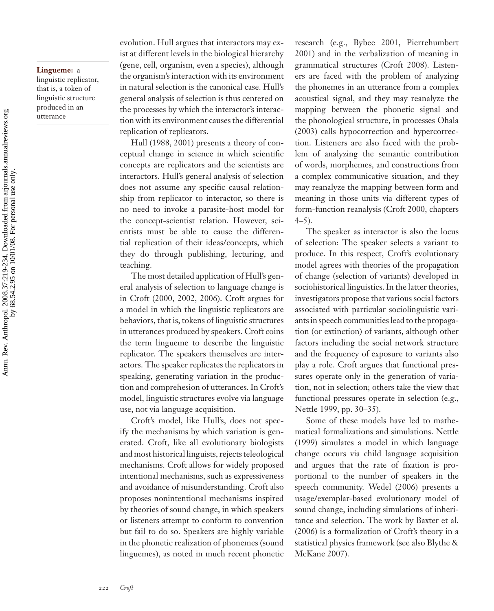**Lingueme:** a

linguistic replicator, that is, a token of linguistic structure produced in an utterance

evolution. Hull argues that interactors may exist at different levels in the biological hierarchy (gene, cell, organism, even a species), although the organism's interaction with its environment in natural selection is the canonical case. Hull's general analysis of selection is thus centered on the processes by which the interactor's interaction with its environment causes the differential replication of replicators.

Hull (1988, 2001) presents a theory of conceptual change in science in which scientific concepts are replicators and the scientists are interactors. Hull's general analysis of selection does not assume any specific causal relationship from replicator to interactor, so there is no need to invoke a parasite-host model for the concept-scientist relation. However, scientists must be able to cause the differential replication of their ideas/concepts, which they do through publishing, lecturing, and teaching.

The most detailed application of Hull's general analysis of selection to language change is in Croft (2000, 2002, 2006). Croft argues for a model in which the linguistic replicators are behaviors, that is, tokens of linguistic structures in utterances produced by speakers. Croft coins the term lingueme to describe the linguistic replicator. The speakers themselves are interactors. The speaker replicates the replicators in speaking, generating variation in the production and comprehesion of utterances. In Croft's model, linguistic structures evolve via language use, not via language acquisition.

Croft's model, like Hull's, does not specify the mechanisms by which variation is generated. Croft, like all evolutionary biologists and most historical linguists, rejects teleological mechanisms. Croft allows for widely proposed intentional mechanisms, such as expressiveness and avoidance of misunderstanding. Croft also proposes nonintentional mechanisms inspired by theories of sound change, in which speakers or listeners attempt to conform to convention but fail to do so. Speakers are highly variable in the phonetic realization of phonemes (sound linguemes), as noted in much recent phonetic research (e.g., Bybee 2001, Pierrehumbert 2001) and in the verbalization of meaning in grammatical structures (Croft 2008). Listeners are faced with the problem of analyzing the phonemes in an utterance from a complex acoustical signal, and they may reanalyze the mapping between the phonetic signal and the phonological structure, in processes Ohala (2003) calls hypocorrection and hypercorrection. Listeners are also faced with the problem of analyzing the semantic contribution of words, morphemes, and constructions from a complex communicative situation, and they may reanalyze the mapping between form and meaning in those units via different types of form-function reanalysis (Croft 2000, chapters 4–5).

The speaker as interactor is also the locus of selection: The speaker selects a variant to produce. In this respect, Croft's evolutionary model agrees with theories of the propagation of change (selection of variants) developed in sociohistorical linguistics. In the latter theories, investigators propose that various social factors associated with particular sociolinguistic variants in speech communities lead to the propagation (or extinction) of variants, although other factors including the social network structure and the frequency of exposure to variants also play a role. Croft argues that functional pressures operate only in the generation of variation, not in selection; others take the view that functional pressures operate in selection (e.g., Nettle 1999, pp. 30–35).

Some of these models have led to mathematical formalizations and simulations. Nettle (1999) simulates a model in which language change occurs via child language acquisition and argues that the rate of fixation is proportional to the number of speakers in the speech community. Wedel (2006) presents a usage/exemplar-based evolutionary model of sound change, including simulations of inheritance and selection. The work by Baxter et al. (2006) is a formalization of Croft's theory in a statistical physics framework (see also Blythe & McKane 2007).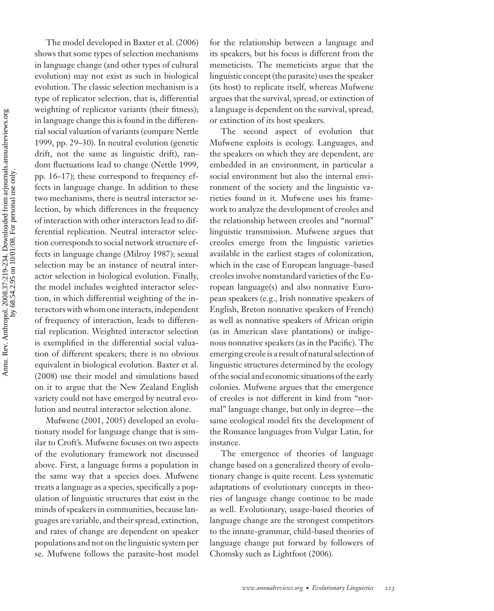The model developed in Baxter et al. (2006) shows that some types of selection mechanisms in language change (and other types of cultural evolution) may not exist as such in biological evolution. The classic selection mechanism is a type of replicator selection, that is, differential weighting of replicator variants (their fitness); in language change this is found in the differential social valuation of variants (compare Nettle 1999, pp. 29–30). In neutral evolution (genetic drift, not the same as linguistic drift), random fluctuations lead to change (Nettle 1999, pp. 16–17); these correspond to frequency effects in language change. In addition to these two mechanisms, there is neutral interactor selection, by which differences in the frequency of interaction with other interactors lead to differential replication. Neutral interactor selection corresponds to social network structure effects in language change (Milroy 1987); sexual selection may be an instance of neutral interactor selection in biological evolution. Finally, the model includes weighted interactor selection, in which differential weighting of the interactors with whom one interacts, independent of frequency of interaction, leads to differential replication. Weighted interactor selection is exemplified in the differential social valuation of different speakers; there is no obvious equivalent in biological evolution. Baxter et al. (2008) use their model and simulations based on it to argue that the New Zealand English variety could not have emerged by neutral evolution and neutral interactor selection alone.

Mufwene (2001, 2005) developed an evolutionary model for language change that is similar to Croft's. Mufwene focuses on two aspects of the evolutionary framework not discussed above. First, a language forms a population in the same way that a species does. Mufwene treats a language as a species, specifically a population of linguistic structures that exist in the minds of speakers in communities, because languages are variable, and their spread, extinction, and rates of change are dependent on speaker populations and not on the linguistic system per se. Mufwene follows the parasite-host model

for the relationship between a language and its speakers, but his focus is different from the memeticists. The memeticists argue that the linguistic concept (the parasite) uses the speaker (its host) to replicate itself, whereas Mufwene argues that the survival, spread, or extinction of a language is dependent on the survival, spread, or extinction of its host speakers.

The second aspect of evolution that Mufwene exploits is ecology. Languages, and the speakers on which they are dependent, are embedded in an environment, in particular a social environment but also the internal environment of the society and the linguistic varieties found in it. Mufwene uses his framework to analyze the development of creoles and the relationship between creoles and "normal" linguistic transmission. Mufwene argues that creoles emerge from the linguistic varieties available in the earliest stages of colonization, which in the case of European language–based creoles involve nonstandard varieties of the European language(s) and also nonnative European speakers (e.g., Irish nonnative speakers of English, Breton nonnative speakers of French) as well as nonnative speakers of African origin (as in American slave plantations) or indigenous nonnative speakers (as in the Pacific). The emerging creole is a result of natural selection of linguistic structures determined by the ecology of the social and economic situations of the early colonies. Mufwene argues that the emergence of creoles is not different in kind from "normal" language change, but only in degree—the same ecological model fits the development of the Romance languages from Vulgar Latin, for instance.

The emergence of theories of language change based on a generalized theory of evolutionary change is quite recent. Less systematic adaptations of evolutionary concepts in theories of language change continue to be made as well. Evolutionary, usage-based theories of language change are the strongest competitors to the innate-grammar, child-based theories of language change put forward by followers of Chomsky such as Lightfoot (2006).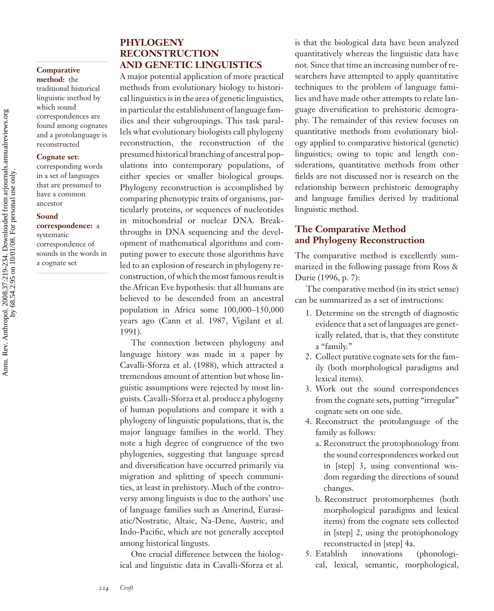#### **Comparative method:** the

traditional historical linguistic method by which sound correspondences are found among cognates and a protolanguage is reconstructed

#### **Cognate set:**

corresponding words in a set of languages that are presumed to have a common ancestor

#### **Sound**

**correspondence:** a systematic correspondence of sounds in the words in a cognate set

#### **PHYLOGENY RECONSTRUCTION AND GENETIC LINGUISTICS**

A major potential application of more practical methods from evolutionary biology to historical linguistics is in the area of genetic linguistics, in particular the establishment of language families and their subgroupings. This task parallels what evolutionary biologists call phylogeny reconstruction, the reconstruction of the presumed historical branching of ancestral populations into contemporary populations, of either species or smaller biological groups. Phylogeny reconstruction is accomplished by comparing phenotypic traits of organisms, particularly proteins, or sequences of nucleotides in mitochondrial or nuclear DNA. Breakthroughs in DNA sequencing and the development of mathematical algorithms and computing power to execute those algorithms have led to an explosion of research in phylogeny reconstruction, of which the most famous result is the African Eve hypothesis: that all humans are believed to be descended from an ancestral population in Africa some 100,000–150,000 years ago (Cann et al. 1987, Vigilant et al. 1991).

The connection between phylogeny and language history was made in a paper by Cavalli-Sforza et al. (1988), which attracted a tremendous amount of attention but whose linguistic assumptions were rejected by most linguists. Cavalli-Sforza et al. produce a phylogeny of human populations and compare it with a phylogeny of linguistic populations, that is, the major language families in the world. They note a high degree of congruence of the two phylogenies, suggesting that language spread and diversification have occurred primarily via migration and splitting of speech communities, at least in prehistory. Much of the controversy among linguists is due to the authors' use of language families such as Amerind, Eurasiatic/Nostratic, Altaic, Na-Dene, Austric, and Indo-Pacific, which are not generally accepted among historical lingusts.

One crucial difference between the biological and linguistic data in Cavalli-Sforza et al. is that the biological data have been analyzed quantitatively whereas the linguistic data have not. Since that time an increasing number of researchers have attempted to apply quantitative techniques to the problem of language families and have made other attempts to relate language diversification to prehistoric demography. The remainder of this review focuses on quantitative methods from evolutionary biology applied to comparative historical (genetic) linguistics; owing to topic and length considerations, quantitative methods from other fields are not discussed nor is research on the relationship between prehistoric demography and language families derived by traditional linguistic method.

#### **The Comparative Method and Phylogeny Reconstruction**

The comparative method is excellently summarized in the following passage from Ross & Durie (1996, p. 7):

The comparative method (in its strict sense) can be summarized as a set of instructions:

- 1. Determine on the strength of diagnostic evidence that a set of languages are genetically related, that is, that they constitute a "family."
- 2. Collect putative cognate sets for the family (both morphological paradigms and lexical items).
- 3. Work out the sound correspondences from the cognate sets, putting "irregular" cognate sets on one side.
- 4. Reconstruct the protolanguage of the family as follows:
	- a. Reconstruct the protophonology from the sound correspondences worked out in [step] 3, using conventional wisdom regarding the directions of sound changes.
	- b. Reconstruct protomorphemes (both morphological paradigms and lexical items) from the cognate sets collected in [step] 2, using the protophonology reconstructed in [step] 4a.
- 5. Establish innovations (phonological, lexical, semantic, morphological,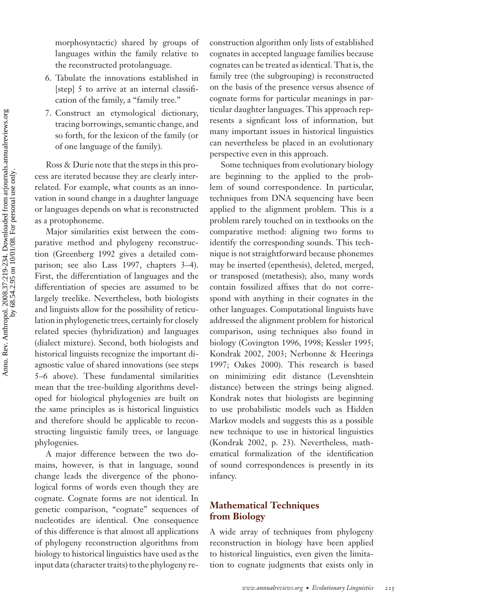morphosyntactic) shared by groups of languages within the family relative to the reconstructed protolanguage.

- 6. Tabulate the innovations established in [step] 5 to arrive at an internal classification of the family, a "family tree."
- 7. Construct an etymological dictionary, tracing borrowings, semantic change, and so forth, for the lexicon of the family (or of one language of the family).

Ross & Durie note that the steps in this process are iterated because they are clearly interrelated. For example, what counts as an innovation in sound change in a daughter language or languages depends on what is reconstructed as a protophoneme.

Major similarities exist between the comparative method and phylogeny reconstruction (Greenberg 1992 gives a detailed comparison; see also Lass 1997, chapters 3–4). First, the differentiation of languages and the differentiation of species are assumed to be largely treelike. Nevertheless, both biologists and linguists allow for the possibility of reticulation in phylogenetic trees, certainly for closely related species (hybridization) and languages (dialect mixture). Second, both biologists and historical linguists recognize the important diagnostic value of shared innovations (see steps 5–6 above). These fundamental similarities mean that the tree-building algorithms developed for biological phylogenies are built on the same principles as is historical linguistics and therefore should be applicable to reconstructing linguistic family trees, or language phylogenies.

A major difference between the two domains, however, is that in language, sound change leads the divergence of the phonological forms of words even though they are cognate. Cognate forms are not identical. In genetic comparison, "cognate" sequences of nucleotides are identical. One consequence of this difference is that almost all applications of phylogeny reconstruction algorithms from biology to historical linguistics have used as the input data (character traits) to the phylogeny re-

construction algorithm only lists of established cognates in accepted language families because cognates can be treated as identical. That is, the family tree (the subgrouping) is reconstructed on the basis of the presence versus absence of cognate forms for particular meanings in particular daughter languages. This approach represents a signficant loss of information, but many important issues in historical linguistics can nevertheless be placed in an evolutionary perspective even in this approach.

Some techniques from evolutionary biology are beginning to the applied to the problem of sound correspondence. In particular, techniques from DNA sequencing have been applied to the alignment problem. This is a problem rarely touched on in textbooks on the comparative method: aligning two forms to identify the corresponding sounds. This technique is not straightforward because phonemes may be inserted (epenthesis), deleted, merged, or transposed (metathesis); also, many words contain fossilized affixes that do not correspond with anything in their cognates in the other languages. Computational linguists have addressed the alignment problem for historical comparison, using techniques also found in biology (Covington 1996, 1998; Kessler 1995; Kondrak 2002, 2003; Nerbonne & Heeringa 1997; Oakes 2000). This research is based on minimizing edit distance (Levenshtein distance) between the strings being aligned. Kondrak notes that biologists are beginning to use probabilistic models such as Hidden Markov models and suggests this as a possible new technique to use in historical linguistics (Kondrak 2002, p. 23). Nevertheless, mathematical formalization of the identification of sound correspondences is presently in its infancy.

#### **Mathematical Techniques from Biology**

A wide array of techniques from phylogeny reconstruction in biology have been applied to historical linguistics, even given the limitation to cognate judgments that exists only in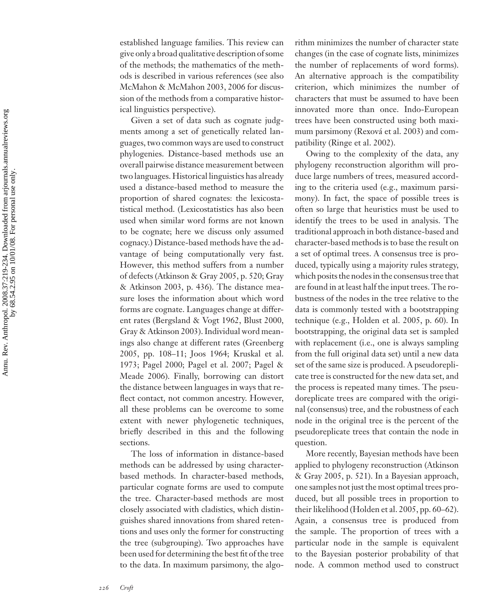established language families. This review can give only a broad qualitative description of some of the methods; the mathematics of the methods is described in various references (see also McMahon & McMahon 2003, 2006 for discussion of the methods from a comparative historical linguistics perspective).

Given a set of data such as cognate judgments among a set of genetically related languages, two common ways are used to construct phylogenies. Distance-based methods use an overall pairwise distance measurement between two languages. Historical linguistics has already used a distance-based method to measure the proportion of shared cognates: the lexicostatistical method. (Lexicostatistics has also been used when similar word forms are not known to be cognate; here we discuss only assumed cognacy.) Distance-based methods have the advantage of being computationally very fast. However, this method suffers from a number of defects (Atkinson & Gray 2005, p. 520; Gray & Atkinson 2003, p. 436). The distance measure loses the information about which word forms are cognate. Languages change at different rates (Bergsland & Vogt 1962, Blust 2000, Gray & Atkinson 2003). Individual word meanings also change at different rates (Greenberg 2005, pp. 108–11; Joos 1964; Kruskal et al. 1973; Pagel 2000; Pagel et al. 2007; Pagel & Meade 2006). Finally, borrowing can distort the distance between languages in ways that reflect contact, not common ancestry. However, all these problems can be overcome to some extent with newer phylogenetic techniques, briefly described in this and the following sections.

The loss of information in distance-based methods can be addressed by using characterbased methods. In character-based methods, particular cognate forms are used to compute the tree. Character-based methods are most closely associated with cladistics, which distinguishes shared innovations from shared retentions and uses only the former for constructing the tree (subgrouping). Two approaches have been used for determining the best fit of the tree to the data. In maximum parsimony, the algorithm minimizes the number of character state changes (in the case of cognate lists, minimizes the number of replacements of word forms). An alternative approach is the compatibility criterion, which minimizes the number of characters that must be assumed to have been innovated more than once. Indo-European trees have been constructed using both maximum parsimony (Rexová et al. 2003) and compatibility (Ringe et al. 2002).

Owing to the complexity of the data, any phylogeny reconstruction algorithm will produce large numbers of trees, measured according to the criteria used (e.g., maximum parsimony). In fact, the space of possible trees is often so large that heuristics must be used to identify the trees to be used in analysis. The traditional approach in both distance-based and character-based methods is to base the result on a set of optimal trees. A consensus tree is produced, typically using a majority rules strategy, which posits the nodes in the consensus tree that are found in at least half the input trees. The robustness of the nodes in the tree relative to the data is commonly tested with a bootstrapping technique (e.g., Holden et al. 2005, p. 60). In bootstrapping, the original data set is sampled with replacement (i.e., one is always sampling from the full original data set) until a new data set of the same size is produced. A pseudoreplicate tree is constructed for the new data set, and the process is repeated many times. The pseudoreplicate trees are compared with the original (consensus) tree, and the robustness of each node in the original tree is the percent of the pseudoreplicate trees that contain the node in question.

More recently, Bayesian methods have been applied to phylogeny reconstruction (Atkinson & Gray 2005, p. 521). In a Bayesian approach, one samples not just the most optimal trees produced, but all possible trees in proportion to their likelihood (Holden et al. 2005, pp. 60–62). Again, a consensus tree is produced from the sample. The proportion of trees with a particular node in the sample is equivalent to the Bayesian posterior probability of that node. A common method used to construct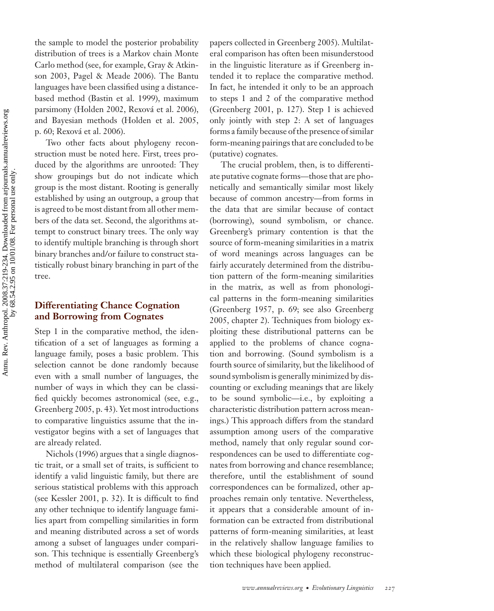the sample to model the posterior probability distribution of trees is a Markov chain Monte Carlo method (see, for example, Gray & Atkinson 2003, Pagel & Meade 2006). The Bantu languages have been classified using a distancebased method (Bastin et al. 1999), maximum parsimony (Holden 2002, Rexová et al. 2006), and Bayesian methods (Holden et al. 2005, p. 60; Rexová et al. 2006).

Two other facts about phylogeny reconstruction must be noted here. First, trees produced by the algorithms are unrooted: They show groupings but do not indicate which group is the most distant. Rooting is generally established by using an outgroup, a group that is agreed to be most distant from all other members of the data set. Second, the algorithms attempt to construct binary trees. The only way to identify multiple branching is through short binary branches and/or failure to construct statistically robust binary branching in part of the tree.

#### **Differentiating Chance Cognation and Borrowing from Cognates**

Step 1 in the comparative method, the identification of a set of languages as forming a language family, poses a basic problem. This selection cannot be done randomly because even with a small number of languages, the number of ways in which they can be classified quickly becomes astronomical (see, e.g., Greenberg 2005, p. 43). Yet most introductions to comparative linguistics assume that the investigator begins with a set of languages that are already related.

Nichols (1996) argues that a single diagnostic trait, or a small set of traits, is sufficient to identify a valid linguistic family, but there are serious statistical problems with this approach (see Kessler 2001, p. 32). It is difficult to find any other technique to identify language families apart from compelling similarities in form and meaning distributed across a set of words among a subset of languages under comparison. This technique is essentially Greenberg's method of multilateral comparison (see the

papers collected in Greenberg 2005). Multilateral comparison has often been misunderstood in the linguistic literature as if Greenberg intended it to replace the comparative method. In fact, he intended it only to be an approach to steps 1 and 2 of the comparative method (Greenberg 2001, p. 127). Step 1 is achieved only jointly with step 2: A set of languages forms a family because of the presence of similar form-meaning pairings that are concluded to be (putative) cognates.

The crucial problem, then, is to differentiate putative cognate forms—those that are phonetically and semantically similar most likely because of common ancestry—from forms in the data that are similar because of contact (borrowing), sound symbolism, or chance. Greenberg's primary contention is that the source of form-meaning similarities in a matrix of word meanings across languages can be fairly accurately determined from the distribution pattern of the form-meaning similarities in the matrix, as well as from phonological patterns in the form-meaning similarities (Greenberg 1957, p. 69; see also Greenberg 2005, chapter 2). Techniques from biology exploiting these distributional patterns can be applied to the problems of chance cognation and borrowing. (Sound symbolism is a fourth source of similarity, but the likelihood of sound symbolism is generally minimized by discounting or excluding meanings that are likely to be sound symbolic—i.e., by exploiting a characteristic distribution pattern across meanings.) This approach differs from the standard assumption among users of the comparative method, namely that only regular sound correspondences can be used to differentiate cognates from borrowing and chance resemblance; therefore, until the establishment of sound correspondences can be formalized, other approaches remain only tentative. Nevertheless, it appears that a considerable amount of information can be extracted from distributional patterns of form-meaning similarities, at least in the relatively shallow language families to which these biological phylogeny reconstruction techniques have been applied.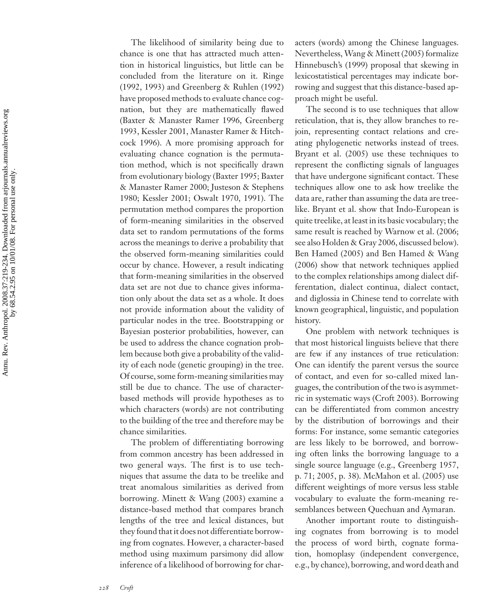Amu. Rev. Anthropol. 2008.37:219-234. Downloaded from arjournals.annualreviews.org<br>by 68.54.2.95 on 10/01/08. For personal use only. Annu. Rev. Anthropol. 2008.37:219-234. Downloaded from arjournals.annualreviews.org by 68.54.2.95 on 10/01/08. For personal use only.

The likelihood of similarity being due to chance is one that has attracted much attention in historical linguistics, but little can be concluded from the literature on it. Ringe (1992, 1993) and Greenberg & Ruhlen (1992) have proposed methods to evaluate chance cognation, but they are mathematically flawed (Baxter & Manaster Ramer 1996, Greenberg 1993, Kessler 2001, Manaster Ramer & Hitchcock 1996). A more promising approach for evaluating chance cognation is the permutation method, which is not specifically drawn from evolutionary biology (Baxter 1995; Baxter & Manaster Ramer 2000; Justeson & Stephens 1980; Kessler 2001; Oswalt 1970, 1991). The permutation method compares the proportion of form-meaning similarities in the observed data set to random permutations of the forms across the meanings to derive a probability that the observed form-meaning similarities could occur by chance. However, a result indicating that form-meaning similarities in the observed data set are not due to chance gives information only about the data set as a whole. It does not provide information about the validity of particular nodes in the tree. Bootstrapping or Bayesian posterior probabilities, however, can be used to address the chance cognation problem because both give a probability of the validity of each node (genetic grouping) in the tree. Of course, some form-meaning similarities may still be due to chance. The use of characterbased methods will provide hypotheses as to which characters (words) are not contributing to the building of the tree and therefore may be chance similarities.

The problem of differentiating borrowing from common ancestry has been addressed in two general ways. The first is to use techniques that assume the data to be treelike and treat anomalous similarities as derived from borrowing. Minett & Wang (2003) examine a distance-based method that compares branch lengths of the tree and lexical distances, but they found that it does not differentiate borrowing from cognates. However, a character-based method using maximum parsimony did allow inference of a likelihood of borrowing for characters (words) among the Chinese languages. Nevertheless, Wang & Minett (2005) formalize Hinnebusch's (1999) proposal that skewing in lexicostatistical percentages may indicate borrowing and suggest that this distance-based approach might be useful.

The second is to use techniques that allow reticulation, that is, they allow branches to rejoin, representing contact relations and creating phylogenetic networks instead of trees. Bryant et al. (2005) use these techniques to represent the conflicting signals of languages that have undergone significant contact. These techniques allow one to ask how treelike the data are, rather than assuming the data are treelike. Bryant et al. show that Indo-European is quite treelike, at least in its basic vocabulary; the same result is reached by Warnow et al. (2006; see also Holden & Gray 2006, discussed below). Ben Hamed (2005) and Ben Hamed & Wang (2006) show that network techniques applied to the complex relationships among dialect differentation, dialect continua, dialect contact, and diglossia in Chinese tend to correlate with known geographical, linguistic, and population history.

One problem with network techniques is that most historical linguists believe that there are few if any instances of true reticulation: One can identify the parent versus the source of contact, and even for so-called mixed languages, the contribution of the two is asymmetric in systematic ways (Croft 2003). Borrowing can be differentiated from common ancestry by the distribution of borrowings and their forms: For instance, some semantic categories are less likely to be borrowed, and borrowing often links the borrowing language to a single source language (e.g., Greenberg 1957, p. 71; 2005, p. 38). McMahon et al. (2005) use different weightings of more versus less stable vocabulary to evaluate the form-meaning resemblances between Quechuan and Aymaran.

Another important route to distinguishing cognates from borrowing is to model the process of word birth, cognate formation, homoplasy (independent convergence, e.g., by chance), borrowing, and word death and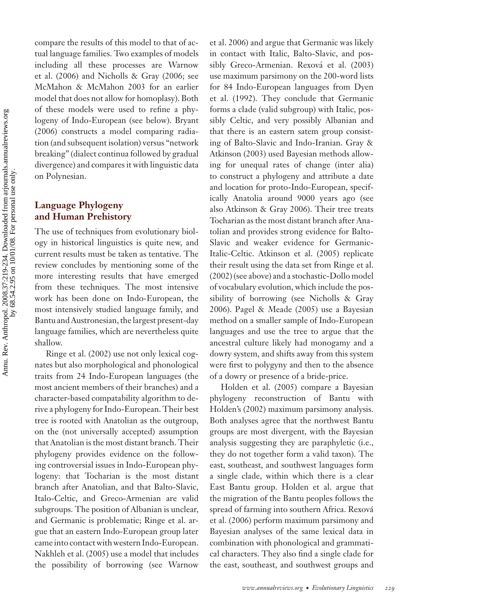compare the results of this model to that of actual language families. Two examples of models including all these processes are Warnow et al. (2006) and Nicholls & Gray (2006; see McMahon & McMahon 2003 for an earlier model that does not allow for homoplasy). Both of these models were used to refine a phylogeny of Indo-European (see below). Bryant (2006) constructs a model comparing radiation (and subsequent isolation) versus "network breaking" (dialect continua followed by gradual divergence) and compares it with linguistic data on Polynesian.

#### **Language Phylogeny and Human Prehistory**

The use of techniques from evolutionary biology in historical linguistics is quite new, and current results must be taken as tentative. The review concludes by mentioning some of the more interesting results that have emerged from these techniques. The most intensive work has been done on Indo-European, the most intensively studied language family, and Bantu and Austronesian, the largest present-day language families, which are nevertheless quite shallow.

Ringe et al. (2002) use not only lexical cognates but also morphological and phonological traits from 24 Indo-European languages (the most ancient members of their branches) and a character-based compatability algorithm to derive a phylogeny for Indo-European. Their best tree is rooted with Anatolian as the outgroup, on the (not universally accepted) assumption that Anatolian is the most distant branch. Their phylogeny provides evidence on the following controversial issues in Indo-European phylogeny: that Tocharian is the most distant branch after Anatolian, and that Balto-Slavic, Italo-Celtic, and Greco-Armenian are valid subgroups. The position of Albanian is unclear, and Germanic is problematic; Ringe et al. argue that an eastern Indo-European group later came into contact with western Indo-European. Nakhleh et al. (2005) use a model that includes the possibility of borrowing (see Warnow

et al. 2006) and argue that Germanic was likely in contact with Italic, Balto-Slavic, and possibly Greco-Armenian. Rexová et al. (2003) use maximum parsimony on the 200-word lists for 84 Indo-European languages from Dyen et al. (1992). They conclude that Germanic forms a clade (valid subgroup) with Italic, possibly Celtic, and very possibly Albanian and that there is an eastern satem group consisting of Balto-Slavic and Indo-Iranian. Gray & Atkinson (2003) used Bayesian methods allowing for unequal rates of change (inter alia) to construct a phylogeny and attribute a date and location for proto-Indo-European, specifically Anatolia around 9000 years ago (see also Atkinson & Gray 2006). Their tree treats Tocharian as the most distant branch after Anatolian and provides strong evidence for Balto-Slavic and weaker evidence for Germanic-Italic-Celtic. Atkinson et al. (2005) replicate their result using the data set from Ringe et al. (2002) (see above) and a stochastic-Dollo model of vocabulary evolution, which include the possibility of borrowing (see Nicholls & Gray 2006). Pagel & Meade (2005) use a Bayesian method on a smaller sample of Indo-European languages and use the tree to argue that the ancestral culture likely had monogamy and a dowry system, and shifts away from this system were first to polygyny and then to the absence of a dowry or presence of a bride-price.

Holden et al. (2005) compare a Bayesian phylogeny reconstruction of Bantu with Holden's (2002) maximum parsimony analysis. Both analyses agree that the northwest Bantu groups are most divergent, with the Bayesian analysis suggesting they are paraphyletic (i.e., they do not together form a valid taxon). The east, southeast, and southwest languages form a single clade, within which there is a clear East Bantu group. Holden et al. argue that the migration of the Bantu peoples follows the spread of farming into southern Africa. Rexová et al. (2006) perform maximum parsimony and Bayesian analyses of the same lexical data in combination with phonological and grammatical characters. They also find a single clade for the east, southeast, and southwest groups and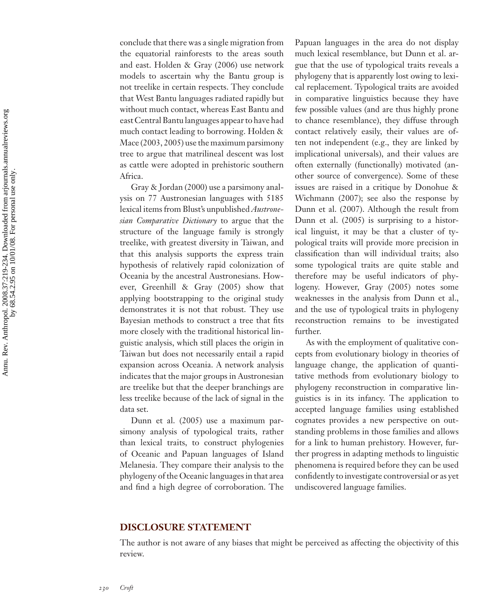conclude that there was a single migration from the equatorial rainforests to the areas south and east. Holden & Gray (2006) use network models to ascertain why the Bantu group is not treelike in certain respects. They conclude that West Bantu languages radiated rapidly but without much contact, whereas East Bantu and east Central Bantu languages appear to have had much contact leading to borrowing. Holden & Mace (2003, 2005) use the maximum parsimony tree to argue that matrilineal descent was lost as cattle were adopted in prehistoric southern Africa.

Gray & Jordan (2000) use a parsimony analysis on 77 Austronesian languages with 5185 lexical items from Blust's unpublished *Austronesian Comparative Dictionary* to argue that the structure of the language family is strongly treelike, with greatest diversity in Taiwan, and that this analysis supports the express train hypothesis of relatively rapid colonization of Oceania by the ancestral Austronesians. However, Greenhill & Gray (2005) show that applying bootstrapping to the original study demonstrates it is not that robust. They use Bayesian methods to construct a tree that fits more closely with the traditional historical linguistic analysis, which still places the origin in Taiwan but does not necessarily entail a rapid expansion across Oceania. A network analysis indicates that the major groups in Austronesian are treelike but that the deeper branchings are less treelike because of the lack of signal in the data set.

Dunn et al. (2005) use a maximum parsimony analysis of typological traits, rather than lexical traits, to construct phylogenies of Oceanic and Papuan languages of Island Melanesia. They compare their analysis to the phylogeny of the Oceanic languages in that area and find a high degree of corroboration. The Papuan languages in the area do not display much lexical resemblance, but Dunn et al. argue that the use of typological traits reveals a phylogeny that is apparently lost owing to lexical replacement. Typological traits are avoided in comparative linguistics because they have few possible values (and are thus highly prone to chance resemblance), they diffuse through contact relatively easily, their values are often not independent (e.g., they are linked by implicational universals), and their values are often externally (functionally) motivated (another source of convergence). Some of these issues are raised in a critique by Donohue & Wichmann (2007); see also the response by Dunn et al. (2007). Although the result from Dunn et al. (2005) is surprising to a historical linguist, it may be that a cluster of typological traits will provide more precision in classification than will individual traits; also some typological traits are quite stable and therefore may be useful indicators of phylogeny. However, Gray (2005) notes some weaknesses in the analysis from Dunn et al., and the use of typological traits in phylogeny reconstruction remains to be investigated further.

As with the employment of qualitative concepts from evolutionary biology in theories of language change, the application of quantitative methods from evolutionary biology to phylogeny reconstruction in comparative linguistics is in its infancy. The application to accepted language families using established cognates provides a new perspective on outstanding problems in those families and allows for a link to human prehistory. However, further progress in adapting methods to linguistic phenomena is required before they can be used confidently to investigate controversial or as yet undiscovered language families.

#### **DISCLOSURE STATEMENT**

The author is not aware of any biases that might be perceived as affecting the objectivity of this review.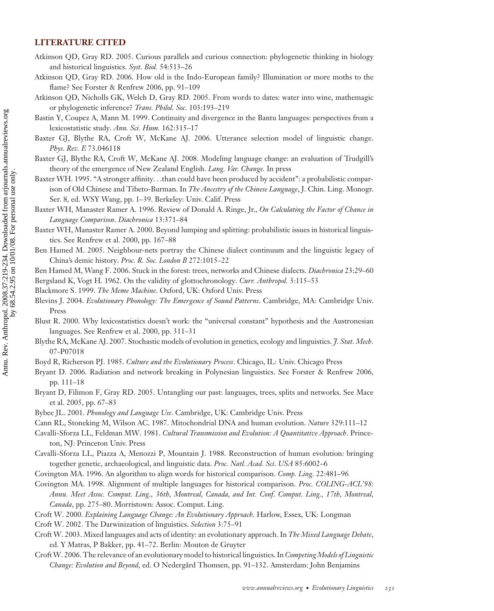#### **LITERATURE CITED**

- Atkinson QD, Gray RD. 2005. Curious parallels and curious connection: phylogenetic thinking in biology and historical linguistics. *Syst. Biol.* 54:513–26
- Atkinson QD, Gray RD. 2006. How old is the Indo-European family? Illumination or more moths to the flame? See Forster & Renfrew 2006, pp. 91–109
- Atkinson QD, Nicholls GK, Welch D, Gray RD. 2005. From words to dates: water into wine, mathemagic or phylogenetic inference? *Trans. Philol. Soc.* 103:193–219
- Bastin Y, Coupez A, Mann M. 1999. Continuity and divergence in the Bantu languages: perspectives from a lexicostatistic study. *Ann. Sci. Hum.* 162:315–17
- Baxter GJ, Blythe RA, Croft W, McKane AJ. 2006. Utterance selection model of linguistic change. *Phys. Rev. E* 73.046118
- Baxter GJ, Blythe RA, Croft W, McKane AJ. 2008. Modeling language change: an evaluation of Trudgill's theory of the emergence of New Zealand English. *Lang. Var. Change.* In press
- Baxter WH. 1995. "A stronger affinity...than could have been produced by accident": a probabilistic comparison of Old Chinese and Tibeto-Burman. In *The Ancestry of the Chinese Language*, J. Chin. Ling. Monogr. Ser. 8, ed. WSY Wang, pp. 1–39. Berkeley: Univ. Calif. Press
- Baxter WH, Manaster Ramer A. 1996. Review of Donald A. Ringe, Jr., *On Calculating the Factor of Chance in Language Comparison*. *Diachronica* 13:371–84
- Baxter WH, Manaster Ramer A. 2000. Beyond lumping and splitting: probabilistic issues in historical linguistics. See Renfrew et al. 2000, pp. 167–88
- Ben Hamed M. 2005. Neighbour-nets portray the Chinese dialect continuum and the linguistic legacy of China's demic history. *Proc. R. Soc. London B* 272:1015–22
- Ben Hamed M, Wang F. 2006. Stuck in the forest: trees, networks and Chinese dialects. *Diachronica* 23:29–60 Bergsland K, Vogt H. 1962. On the validity of glottochronology. *Curr. Anthropol.* 3:115–53
- Blackmore S. 1999. *The Meme Machine*. Oxford, UK: Oxford Univ. Press
- Blevins J. 2004. *Evolutionary Phonology: The Emergence of Sound Patterns*. Cambridge, MA: Cambridge Univ. Press
- Blust R. 2000. Why lexicostatistics doesn't work: the "universal constant" hypothesis and the Austronesian languages. See Renfrew et al. 2000, pp. 311–31
- Blythe RA, McKane AJ. 2007. Stochastic models of evolution in genetics, ecology and linguistics. *J. Stat. Mech.* 07-P07018
- Boyd R, Richerson PJ. 1985. *Culture and the Evolutionary Process*. Chicago, IL: Univ. Chicago Press
- Bryant D. 2006. Radiation and network breaking in Polynesian linguistics. See Forster & Renfrew 2006, pp. 111–18
- Bryant D, Filimon F, Gray RD. 2005. Untangling our past: languages, trees, splits and networks. See Mace et al. 2005, pp. 67–83
- Bybee JL. 2001. *Phonology and Language Use*. Cambridge, UK: Cambridge Univ. Press
- Cann RL, Stoneking M, Wilson AC. 1987. Mitochondrial DNA and human evolution. *Nature* 329:111–12
- Cavalli-Sforza LL, Feldman MW. 1981. *Cultural Transmission and Evolution: A Quantitative Approach*. Princeton, NJ: Princeton Univ. Press
- Cavalli-Sforza LL, Piazza A, Menozzi P, Mountain J. 1988. Reconstruction of human evolution: bringing together genetic, archaeological, and linguistic data. *Proc. Natl. Acad. Sci. USA* 85:6002–6
- Covington MA. 1996. An algorithm to align words for historical comparison. *Comp. Ling.* 22:481–96
- Covington MA. 1998. Alignment of multiple languages for historical comparison. *Proc. COLING-ACL'98: Annu. Meet Assoc. Comput. Ling., 36th, Montreal, Canada, and Int. Conf. Comput. Ling., 17th, Montreal, Canada*, pp. 275–80. Morristown: Assoc. Comput. Ling.
- Croft W. 2000. *Explaining Language Change: An Evolutionary Approach*. Harlow, Essex, UK: Longman
- Croft W. 2002. The Darwinization of linguistics. *Selection* 3:75–91
- Croft W. 2003. Mixed languages and acts of identity: an evolutionary approach. In *The Mixed Language Debate*, ed. Y Matras, P Bakker, pp. 41–72. Berlin: Mouton de Gruyter
- Croft W. 2006. The relevance of an evolutionary model to historical linguistics. In*Competing Models of Linguistic Change: Evolution and Beyond*, ed. O Nedergård Thomsen, pp. 91-132. Amsterdam: John Benjamins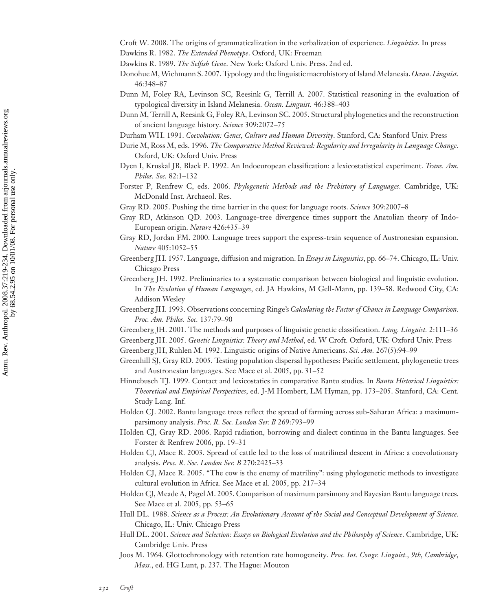Croft W. 2008. The origins of grammaticalization in the verbalization of experience. *Linguistics*. In press

Dawkins R. 1982. *The Extended Phenotype*. Oxford, UK: Freeman

- Dawkins R. 1989. *The Selfish Gene*. New York: Oxford Univ. Press. 2nd ed.
- Donohue M, Wichmann S. 2007. Typology and the linguistic macrohistory of Island Melanesia. *Ocean. Linguist.* 46:348–87
- Dunn M, Foley RA, Levinson SC, Reesink G, Terrill A. 2007. Statistical reasoning in the evaluation of typological diversity in Island Melanesia. *Ocean. Linguist.* 46:388–403
- Dunn M, Terrill A, Reesink G, Foley RA, Levinson SC. 2005. Structural phylogenetics and the reconstruction of ancient language history. *Science* 309:2072–75
- Durham WH. 1991. *Coevolution: Genes, Culture and Human Diversity*. Stanford, CA: Stanford Univ. Press
- Durie M, Ross M, eds. 1996. *The Comparative Method Reviewed: Regularity and Irregularity in Language Change*. Oxford, UK: Oxford Univ. Press
- Dyen I, Kruskal JB, Black P. 1992. An Indoeuropean classification: a lexicostatistical experiment. *Trans. Am. Philos. Soc.* 82:1–132
- Forster P, Renfrew C, eds. 2006. *Phylogenetic Methods and the Prehistory of Languages*. Cambridge, UK: McDonald Inst. Archaeol. Res.
- Gray RD. 2005. Pushing the time barrier in the quest for language roots. *Science* 309:2007–8
- Gray RD, Atkinson QD. 2003. Language-tree divergence times support the Anatolian theory of Indo-European origin. *Nature* 426:435–39
- Gray RD, Jordan FM. 2000. Language trees support the express-train sequence of Austronesian expansion. *Nature* 405:1052–55
- Greenberg JH. 1957. Language, diffusion and migration. In *Essays in Linguistics*, pp. 66–74. Chicago, IL: Univ. Chicago Press
- Greenberg JH. 1992. Preliminaries to a systematic comparison between biological and linguistic evolution. In *The Evolution of Human Languages*, ed. JA Hawkins, M Gell-Mann, pp. 139–58. Redwood City, CA: Addison Wesley
- Greenberg JH. 1993. Observations concerning Ringe's *Calculating the Factor of Chance in Language Comparison*. *Proc. Am. Philos. Soc.* 137:79–90
- Greenberg JH. 2001. The methods and purposes of linguistic genetic classification. *Lang. Linguist.* 2:111–36
- Greenberg JH. 2005. *Genetic Linguistics: Theory and Method*, ed. W Croft. Oxford, UK: Oxford Univ. Press
- Greenberg JH, Ruhlen M. 1992. Linguistic origins of Native Americans. *Sci. Am.* 267(5):94–99
- Greenhill SJ, Gray RD. 2005. Testing population dispersal hypotheses: Pacific settlement, phylogenetic trees and Austronesian languages. See Mace et al. 2005, pp. 31–52
- Hinnebusch TJ. 1999. Contact and lexicostatics in comparative Bantu studies. In *Bantu Historical Linguistics: Theoretical and Empirical Perspectives*, ed. J-M Hombert, LM Hyman, pp. 173–205. Stanford, CA: Cent. Study Lang. Inf.
- Holden CJ. 2002. Bantu language trees reflect the spread of farming across sub-Saharan Africa: a maximumparsimony analysis. *Proc. R. Soc. London Ser. B* 269:793–99
- Holden CJ, Gray RD. 2006. Rapid radiation, borrowing and dialect continua in the Bantu languages. See Forster & Renfrew 2006, pp. 19–31
- Holden CJ, Mace R. 2003. Spread of cattle led to the loss of matrilineal descent in Africa: a coevolutionary analysis. *Proc. R. Soc. London Ser. B* 270:2425–33
- Holden CJ, Mace R. 2005. "The cow is the enemy of matriliny": using phylogenetic methods to investigate cultural evolution in Africa. See Mace et al. 2005, pp. 217–34
- Holden CJ, Meade A, Pagel M. 2005. Comparison of maximum parsimony and Bayesian Bantu language trees. See Mace et al. 2005, pp. 53–65
- Hull DL. 1988. *Science as a Process: An Evolutionary Account of the Social and Conceptual Development of Science*. Chicago, IL: Univ. Chicago Press
- Hull DL. 2001. *Science and Selection: Essays on Biological Evolution and the Philosophy of Science*. Cambridge, UK: Cambridge Univ. Press
- Joos M. 1964. Glottochronology with retention rate homogeneity. *Proc. Int. Congr. Linguist.*, *9th, Cambridge, Mass.*, ed. HG Lunt, p. 237. The Hague: Mouton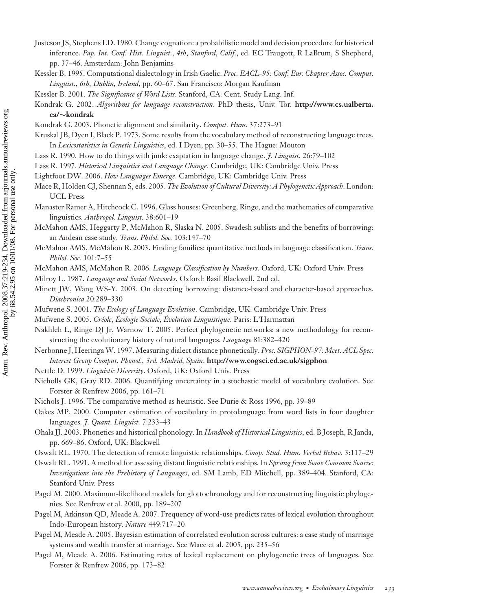- Amu. Rev. Anthropol. 2008.37:219-234. Downloaded from arjournals.annualreviews.org<br>by 68.54.2.95 on 10/01/08. For personal use only. Annu. Rev. Anthropol. 2008.37:219-234. Downloaded from arjournals.annualreviews.org by 68.54.2.95 on 10/01/08. For personal use only.
- Justeson JS, Stephens LD. 1980. Change cognation: a probabilistic model and decision procedure for historical inference. *Pap. Int. Conf. Hist. Linguist.*, *4th*, *Stanford, Calif.*, ed. EC Traugott, R LaBrum, S Shepherd, pp. 37–46. Amsterdam: John Benjamins
- Kessler B. 1995. Computational dialectology in Irish Gaelic. *Proc. EACL-95: Conf. Eur. Chapter Assoc. Comput. Linguist.*, *6th, Dublin, Ireland*, pp. 60–67. San Francisco: Morgan Kaufman
- Kessler B. 2001. *The Significance of Word Lists*. Stanford, CA: Cent. Study Lang. Inf.
- Kondrak G. 2002. *Algorithms for language reconstruction*. PhD thesis, Univ. Tor. **http://www.cs.ualberta. ca/***∼***kondrak**
- Kondrak G. 2003. Phonetic alignment and similarity. *Comput. Hum.* 37:273–91
- Kruskal JB, Dyen I, Black P. 1973. Some results from the vocabulary method of reconstructing language trees. In *Lexicostatistics in Genetic Linguistics*, ed. I Dyen, pp. 30–55. The Hague: Mouton
- Lass R. 1990. How to do things with junk: exaptation in language change. *J. Linguist.* 26:79–102
- Lass R. 1997. *Historical Linguistics and Language Change*. Cambridge, UK: Cambridge Univ. Press
- Lightfoot DW. 2006. *How Languages Emerge*. Cambridge, UK: Cambridge Univ. Press
- Mace R, Holden CJ, Shennan S, eds. 2005. *The Evolution of Cultural Diversity: A Phylogenetic Approach*. London: UCL Press
- Manaster Ramer A, Hitchcock C. 1996. Glass houses: Greenberg, Ringe, and the mathematics of comparative linguistics. *Anthropol. Linguist.* 38:601–19
- McMahon AMS, Heggarty P, McMahon R, Slaska N. 2005. Swadesh sublists and the benefits of borrowing: an Andean case study. *Trans. Philol. Soc.* 103:147–70
- McMahon AMS, McMahon R. 2003. Finding families: quantitative methods in language classification. *Trans. Philol. Soc.* 101:7–55
- McMahon AMS, McMahon R. 2006. *Language Classification by Numbers*. Oxford, UK: Oxford Univ. Press
- Milroy L. 1987. *Language and Social Networks*. Oxford: Basil Blackwell. 2nd ed.
- Minett JW, Wang WS-Y. 2003. On detecting borrowing: distance-based and character-based approaches. *Diachronica* 20:289–330
- Mufwene S. 2001. *The Ecology of Language Evolution*. Cambridge, UK: Cambridge Univ. Press
- Mufwene S. 2005. *Cr´eole, Ecologie Sociale, ´ Evolution Linguistique ´* . Paris: L'Harmattan
- Nakhleh L, Ringe DJ Jr, Warnow T. 2005. Perfect phylogenetic networks: a new methodology for reconstructing the evolutionary history of natural languages. *Language* 81:382–420
- Nerbonne J, Heeringa W. 1997. Measuring dialect distance phonetically. *Proc. SIGPHON-97: Meet. ACL Spec. Interest Group Comput. Phonol., 3rd, Madrid, Spain*. **http://www.cogsci.ed.ac.uk/sigphon**
- Nettle D. 1999. *Linguistic Diversity*. Oxford, UK: Oxford Univ. Press
- Nicholls GK, Gray RD. 2006. Quantifying uncertainty in a stochastic model of vocabulary evolution. See Forster & Renfrew 2006, pp. 161–71
- Nichols J. 1996. The comparative method as heuristic. See Durie & Ross 1996, pp. 39–89
- Oakes MP. 2000. Computer estimation of vocabulary in protolanguage from word lists in four daughter languages. *J. Quant. Linguist.* 7:233–43
- Ohala JJ. 2003. Phonetics and historical phonology. In *Handbook of Historical Linguistics*, ed. B Joseph, R Janda, pp. 669–86. Oxford, UK: Blackwell
- Oswalt RL. 1970. The detection of remote linguistic relationships. *Comp. Stud. Hum. Verbal Behav.* 3:117–29
- Oswalt RL. 1991. A method for assessing distant linguistic relationships. In *Sprung from Some Common Source: Investigations into the Prehistory of Languages*, ed. SM Lamb, ED Mitchell, pp. 389–404. Stanford, CA: Stanford Univ. Press
- Pagel M. 2000. Maximum-likelihood models for glottochronology and for reconstructing linguistic phylogenies. See Renfrew et al. 2000, pp. 189–207
- Pagel M, Atkinson QD, Meade A. 2007. Frequency of word-use predicts rates of lexical evolution throughout Indo-European history. *Nature* 449:717–20
- Pagel M, Meade A. 2005. Bayesian estimation of correlated evolution across cultures: a case study of marriage systems and wealth transfer at marriage. See Mace et al. 2005, pp. 235–56
- Pagel M, Meade A. 2006. Estimating rates of lexical replacement on phylogenetic trees of languages. See Forster & Renfrew 2006, pp. 173–82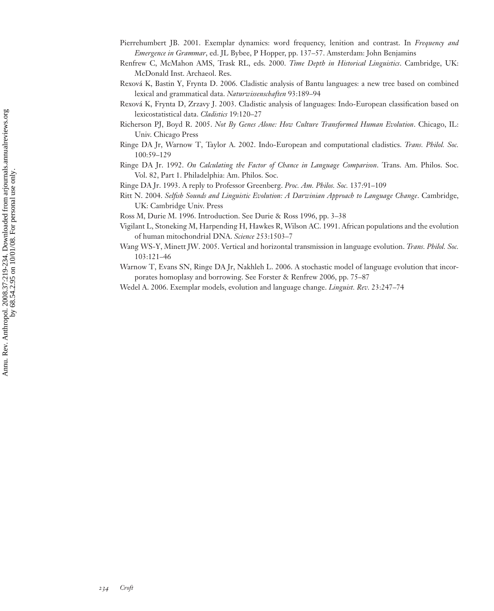- Pierrehumbert JB. 2001. Exemplar dynamics: word frequency, lenition and contrast. In *Frequency and Emergence in Grammar*, ed. JL Bybee, P Hopper, pp. 137–57. Amsterdam: John Benjamins
- Renfrew C, McMahon AMS, Trask RL, eds. 2000. *Time Depth in Historical Linguistics*. Cambridge, UK: McDonald Inst. Archaeol. Res.
- Rexova K, Bastin Y, Frynta D. 2006. Cladistic analysis of Bantu languages: a new tree based on combined ´ lexical and grammatical data. *Naturwissenschaften* 93:189–94
- Rexova K, Frynta D, Zrzavy J. 2003. Cladistic analysis of languages: Indo-European classification based on ´ lexicostatistical data. *Cladistics* 19:120–27
- Richerson PJ, Boyd R. 2005. *Not By Genes Alone: How Culture Transformed Human Evolution*. Chicago, IL: Univ. Chicago Press
- Ringe DA Jr, Warnow T, Taylor A. 2002. Indo-European and computational cladistics. *Trans. Philol. Soc.* 100:59–129
- Ringe DA Jr. 1992. *On Calculating the Factor of Chance in Language Comparison*. Trans. Am. Philos. Soc. Vol. 82, Part 1. Philadelphia: Am. Philos. Soc.
- Ringe DA Jr. 1993. A reply to Professor Greenberg. *Proc. Am. Philos. Soc.* 137:91–109
- Ritt N. 2004. *Selfish Sounds and Linguistic Evolution: A Darwinian Approach to Language Change*. Cambridge, UK: Cambridge Univ. Press
- Ross M, Durie M. 1996. Introduction. See Durie & Ross 1996, pp. 3–38
- Vigilant L, Stoneking M, Harpending H, Hawkes R, Wilson AC. 1991. African populations and the evolution of human mitochondrial DNA. *Science* 253:1503–7
- Wang WS-Y, Minett JW. 2005. Vertical and horizontal transmission in language evolution. *Trans. Philol. Soc.* 103:121–46
- Warnow T, Evans SN, Ringe DA Jr, Nakhleh L. 2006. A stochastic model of language evolution that incorporates homoplasy and borrowing. See Forster & Renfrew 2006, pp. 75–87
- Wedel A. 2006. Exemplar models, evolution and language change. *Linguist. Rev.* 23:247–74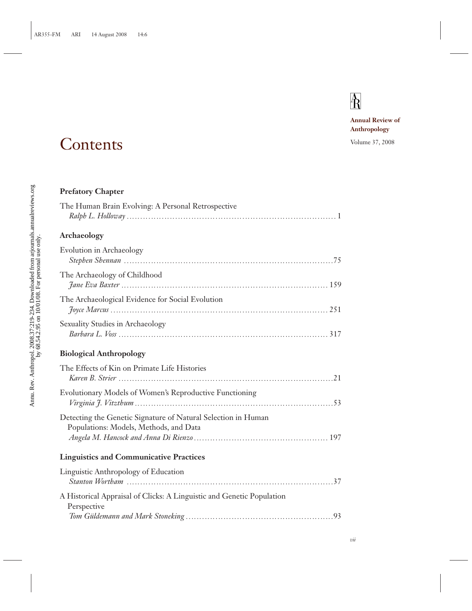# $\mathbf{\hat{R}}$

**Annual Review of Anthropology**

# Contents Volume 37, 2008

# Annu. Rev. Anthropol. 2008.37:219-234. Downloaded from arjournals.annualreviews.org<br>by 68.54.2.95 on 10/01/08. For personal use only. Annu. Rev. Anthropol. 2008.37:219-234. Downloaded from arjournals.annualreviews.org by 68.54.2.95 on 10/01/08. For personal use only.

## **Prefatory Chapter**

| The Human Brain Evolving: A Personal Retrospective                                                      |  |
|---------------------------------------------------------------------------------------------------------|--|
| Archaeology                                                                                             |  |
| <b>Evolution</b> in Archaeology                                                                         |  |
| The Archaeology of Childhood                                                                            |  |
| The Archaeological Evidence for Social Evolution                                                        |  |
| Sexuality Studies in Archaeology                                                                        |  |
| <b>Biological Anthropology</b>                                                                          |  |
| The Effects of Kin on Primate Life Histories                                                            |  |
| Evolutionary Models of Women's Reproductive Functioning                                                 |  |
| Detecting the Genetic Signature of Natural Selection in Human<br>Populations: Models, Methods, and Data |  |
| <b>Linguistics and Communicative Practices</b>                                                          |  |
| Linguistic Anthropology of Education                                                                    |  |
| A Historical Appraisal of Clicks: A Linguistic and Genetic Population<br>Perspective                    |  |

*vii*